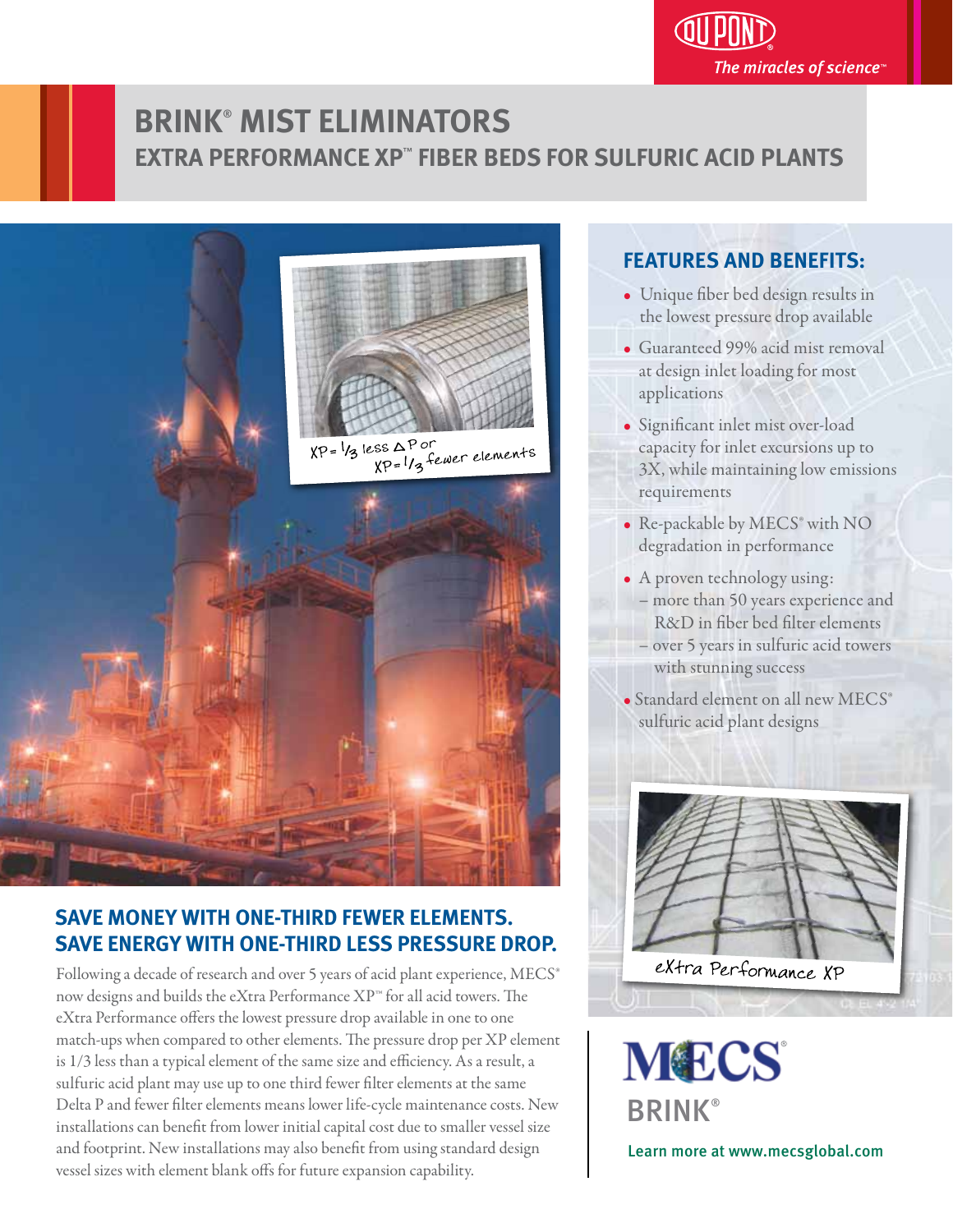

# **BRINK**®  **MIST ELIMINATORS EXTRA PERFORMANCE XP**™  **FIBER BEDS FOR SULFURIC ACID PLANTS**



# **SAVE MONEY WITH ONE-THIRD FEWER ELEMENTS. SAVE ENERGY WITH ONE-THIRD LESS PRESSURE DROP.**

Following a decade of research and over 5 years of acid plant experience, MECS® now designs and builds the eXtra Performance XP™ for all acid towers. The eXtra Performance offers the lowest pressure drop available in one to one match-ups when compared to other elements. The pressure drop per XP element is 1/3 less than a typical element of the same size and efficiency. As a result, a sulfuric acid plant may use up to one third fewer filter elements at the same Delta P and fewer filter elements means lower life-cycle maintenance costs. New installations can benefit from lower initial capital cost due to smaller vessel size and footprint. New installations may also benefit from using standard design vessel sizes with element blank offs for future expansion capability.

## **FEATURES AND BENEFITS:** j

- Unique fiber bed design results in the lowest pressure drop available
- Guaranteed 99% acid mist removal at design inlet loading for most applications
- Significant inlet mist over-load capacity for inlet excursions up to 3X, while maintaining low emissions requirements
- Re-packable by MECS® with NO degradation in performance
- A proven technology using: – more than 50 years experience and R&D in fiber bed filter elements – over 5 years in sulfuric acid towers with stunning success

• Standard element on all new MECS® sulfuric acid plant designs



**MECS BRINK®** 

Learn more at www.mecsglobal.com